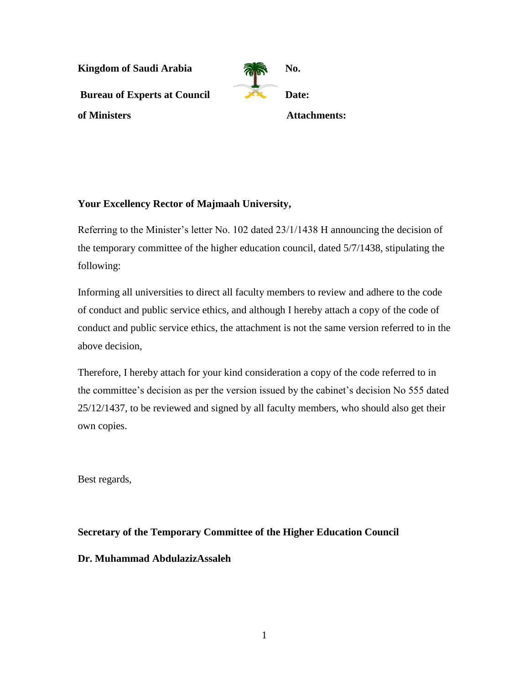Kingdom of Saudi Arabia **1986** No. **Bureau of Experts at Council Date:** Date: of Ministers **Attachments:** 

# **Your Excellency Rector of Majmaah University,**

Referring to the Minister's letter No. 102 dated 23/1/1438 H announcing the decision of the temporary committee of the higher education council, dated 5/7/1438, stipulating the following:

Informing all universities to direct all faculty members to review and adhere to the code of conduct and public service ethics, and although I hereby attach a copy of the code of conduct and public service ethics, the attachment is not the same version referred to in the above decision,

Therefore, I hereby attach for your kind consideration a copy of the code referred to in the committee's decision as per the version issued by the cabinet's decision No 555 dated 25/12/1437, to be reviewed and signed by all faculty members, who should also get their own copies.

Best regards,

**Secretary of the Temporary Committee of the Higher Education Council Dr. Muhammad AbdulazizAssaleh**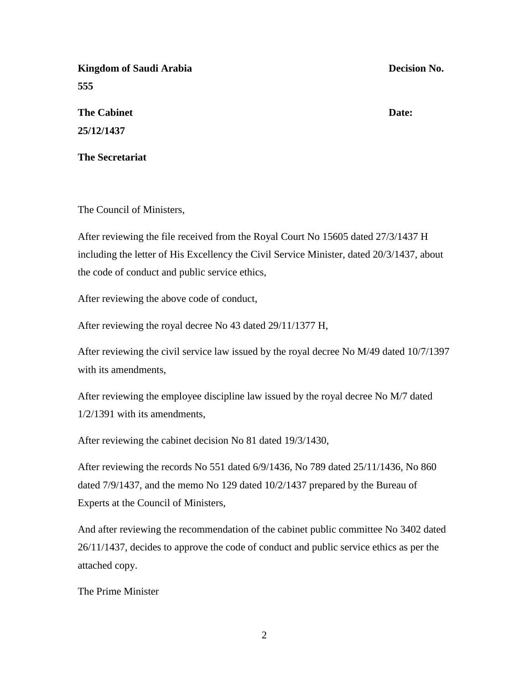**Kingdom of Saudi Arabia Decision No. 555**

**The Cabinet Community Community Community Community Community Community Community Community Community Community Community Community Community Community Community Community Community Community Community Community Community 25/12/1437**

**The Secretariat** 

The Council of Ministers,

After reviewing the file received from the Royal Court No 15605 dated 27/3/1437 H including the letter of His Excellency the Civil Service Minister, dated 20/3/1437, about the code of conduct and public service ethics,

After reviewing the above code of conduct,

After reviewing the royal decree No 43 dated 29/11/1377 H,

After reviewing the civil service law issued by the royal decree No M/49 dated 10/7/1397 with its amendments,

After reviewing the employee discipline law issued by the royal decree No M/7 dated 1/2/1391 with its amendments,

After reviewing the cabinet decision No 81 dated 19/3/1430,

After reviewing the records No 551 dated 6/9/1436, No 789 dated 25/11/1436, No 860 dated 7/9/1437, and the memo No 129 dated 10/2/1437 prepared by the Bureau of Experts at the Council of Ministers,

And after reviewing the recommendation of the cabinet public committee No 3402 dated 26/11/1437, decides to approve the code of conduct and public service ethics as per the attached copy.

The Prime Minister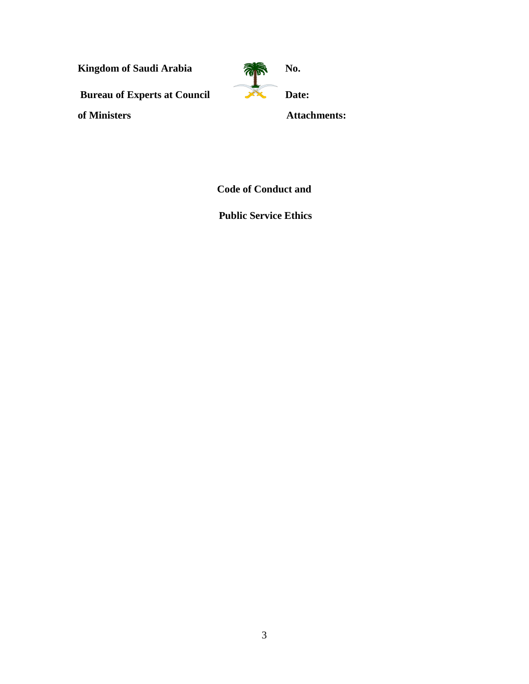**Kingdom of Saudi Arabia**  $\widehat{\mathbb{Z}}$  No.

**Bureau of Experts at Council Date:** 

**of Ministers Attachments:** 

**Code of Conduct and**

**Public Service Ethics**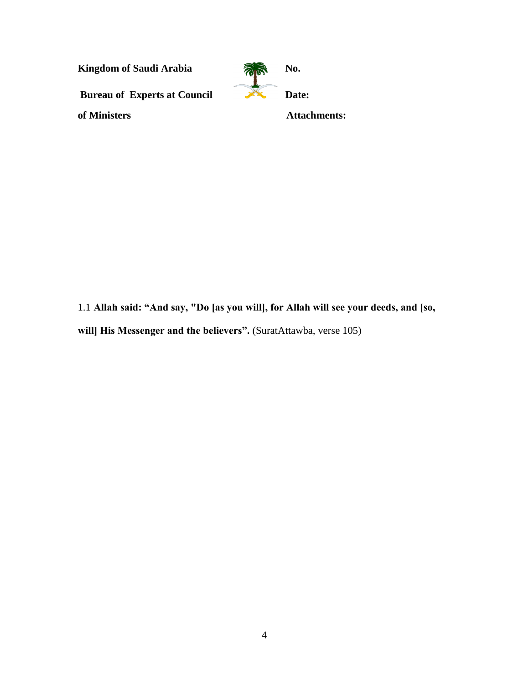

1.1 **Allah said: "And say, "Do [as you will], for Allah will see your deeds, and [so,** 

will] His Messenger and the believers". (SuratAttawba, verse 105)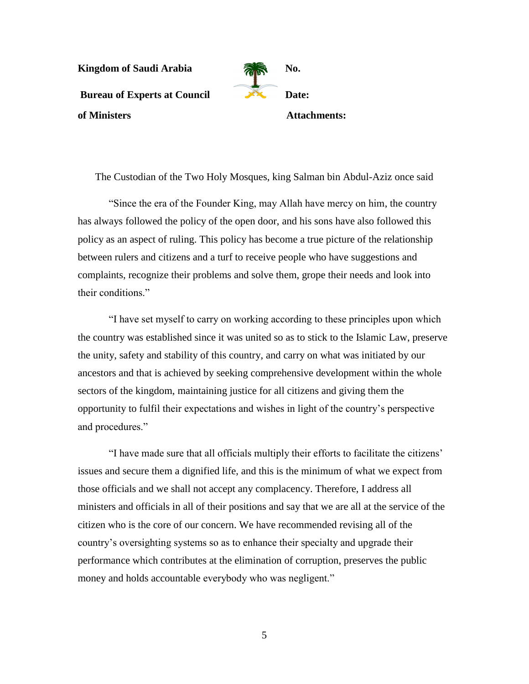

The Custodian of the Two Holy Mosques, king Salman bin Abdul-Aziz once said

"Since the era of the Founder King, may Allah have mercy on him, the country has always followed the policy of the open door, and his sons have also followed this policy as an aspect of ruling. This policy has become a true picture of the relationship between rulers and citizens and a turf to receive people who have suggestions and complaints, recognize their problems and solve them, grope their needs and look into their conditions."

"I have set myself to carry on working according to these principles upon which the country was established since it was united so as to stick to the Islamic Law, preserve the unity, safety and stability of this country, and carry on what was initiated by our ancestors and that is achieved by seeking comprehensive development within the whole sectors of the kingdom, maintaining justice for all citizens and giving them the opportunity to fulfil their expectations and wishes in light of the country's perspective and procedures."

"I have made sure that all officials multiply their efforts to facilitate the citizens' issues and secure them a dignified life, and this is the minimum of what we expect from those officials and we shall not accept any complacency. Therefore, I address all ministers and officials in all of their positions and say that we are all at the service of the citizen who is the core of our concern. We have recommended revising all of the country's oversighting systems so as to enhance their specialty and upgrade their performance which contributes at the elimination of corruption, preserves the public money and holds accountable everybody who was negligent."

5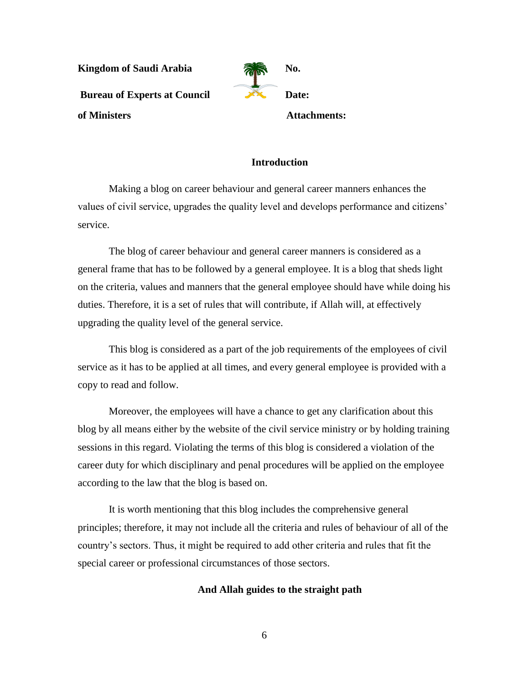Kingdom of Saudi Arabia **1986** No. **Bureau of Experts at Council Date:** Date: of Ministers **Attachments:** 

#### **Introduction**

Making a blog on career behaviour and general career manners enhances the values of civil service, upgrades the quality level and develops performance and citizens' service.

The blog of career behaviour and general career manners is considered as a general frame that has to be followed by a general employee. It is a blog that sheds light on the criteria, values and manners that the general employee should have while doing his duties. Therefore, it is a set of rules that will contribute, if Allah will, at effectively upgrading the quality level of the general service.

This blog is considered as a part of the job requirements of the employees of civil service as it has to be applied at all times, and every general employee is provided with a copy to read and follow.

Moreover, the employees will have a chance to get any clarification about this blog by all means either by the website of the civil service ministry or by holding training sessions in this regard. Violating the terms of this blog is considered a violation of the career duty for which disciplinary and penal procedures will be applied on the employee according to the law that the blog is based on.

It is worth mentioning that this blog includes the comprehensive general principles; therefore, it may not include all the criteria and rules of behaviour of all of the country's sectors. Thus, it might be required to add other criteria and rules that fit the special career or professional circumstances of those sectors.

### **And Allah guides to the straight path**

6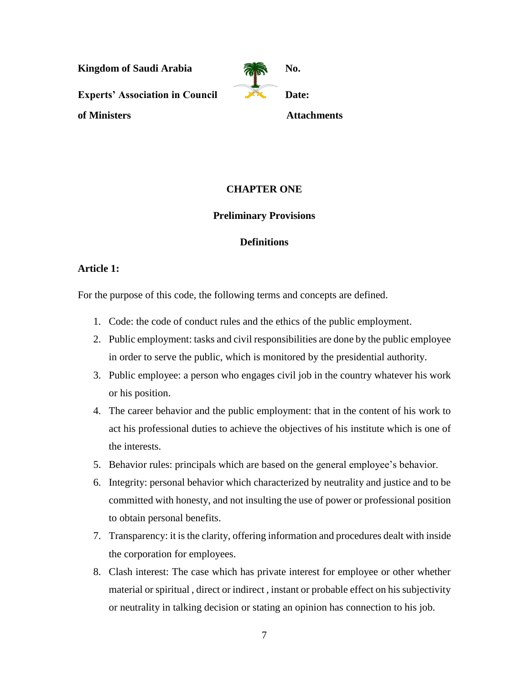**Kingdom of Saudi Arabia**  $\qquad \qquad \widehat{\mathbb{Z}}$  No. **Experts' Association in Council Date: of Ministers Attachments**

## **CHAPTER ONE**

## **Preliminary Provisions**

## **Definitions**

#### **Article 1:**

For the purpose of this code, the following terms and concepts are defined.

- 1. Code: the code of conduct rules and the ethics of the public employment.
- 2. Public employment: tasks and civil responsibilities are done by the public employee in order to serve the public, which is monitored by the presidential authority.
- 3. Public employee: a person who engages civil job in the country whatever his work or his position.
- 4. The career behavior and the public employment: that in the content of his work to act his professional duties to achieve the objectives of his institute which is one of the interests.
- 5. Behavior rules: principals which are based on the general employee's behavior.
- 6. Integrity: personal behavior which characterized by neutrality and justice and to be committed with honesty, and not insulting the use of power or professional position to obtain personal benefits.
- 7. Transparency: it is the clarity, offering information and procedures dealt with inside the corporation for employees.
- 8. Clash interest: The case which has private interest for employee or other whether material or spiritual , direct or indirect , instant or probable effect on his subjectivity or neutrality in talking decision or stating an opinion has connection to his job.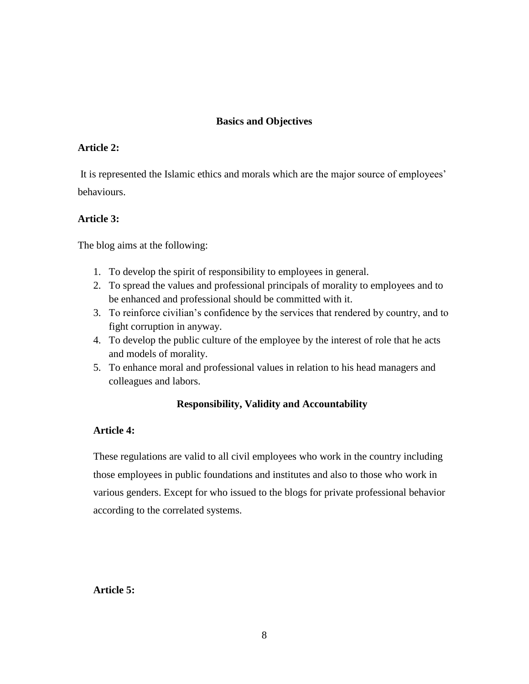# **Basics and Objectives**

# **Article 2:**

It is represented the Islamic ethics and morals which are the major source of employees' behaviours.

# **Article 3:**

The blog aims at the following:

- 1. To develop the spirit of responsibility to employees in general.
- 2. To spread the values and professional principals of morality to employees and to be enhanced and professional should be committed with it.
- 3. To reinforce civilian's confidence by the services that rendered by country, and to fight corruption in anyway.
- 4. To develop the public culture of the employee by the interest of role that he acts and models of morality.
- 5. To enhance moral and professional values in relation to his head managers and colleagues and labors.

# **Responsibility, Validity and Accountability**

# **Article 4:**

These regulations are valid to all civil employees who work in the country including those employees in public foundations and institutes and also to those who work in various genders. Except for who issued to the blogs for private professional behavior according to the correlated systems.

# **Article 5:**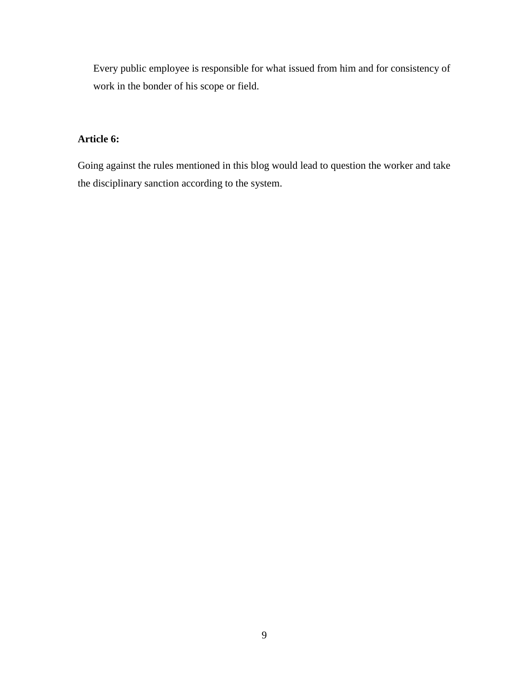Every public employee is responsible for what issued from him and for consistency of work in the bonder of his scope or field.

# **Article 6:**

Going against the rules mentioned in this blog would lead to question the worker and take the disciplinary sanction according to the system.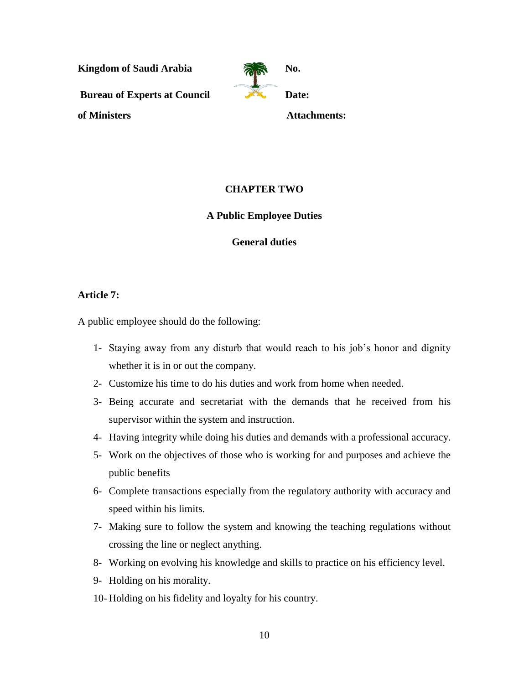Kingdom of Saudi Arabia **1986** No. **Bureau of Experts at Council Date:** Date: **of Ministers Attachments:** 

## **CHAPTER TWO**

## **A Public Employee Duties**

## **General duties**

## **Article 7:**

A public employee should do the following:

- 1- Staying away from any disturb that would reach to his job's honor and dignity whether it is in or out the company.
- 2- Customize his time to do his duties and work from home when needed.
- 3- Being accurate and secretariat with the demands that he received from his supervisor within the system and instruction.
- 4- Having integrity while doing his duties and demands with a professional accuracy.
- 5- Work on the objectives of those who is working for and purposes and achieve the public benefits
- 6- Complete transactions especially from the regulatory authority with accuracy and speed within his limits.
- 7- Making sure to follow the system and knowing the teaching regulations without crossing the line or neglect anything.
- 8- Working on evolving his knowledge and skills to practice on his efficiency level.
- 9- Holding on his morality.
- 10- Holding on his fidelity and loyalty for his country.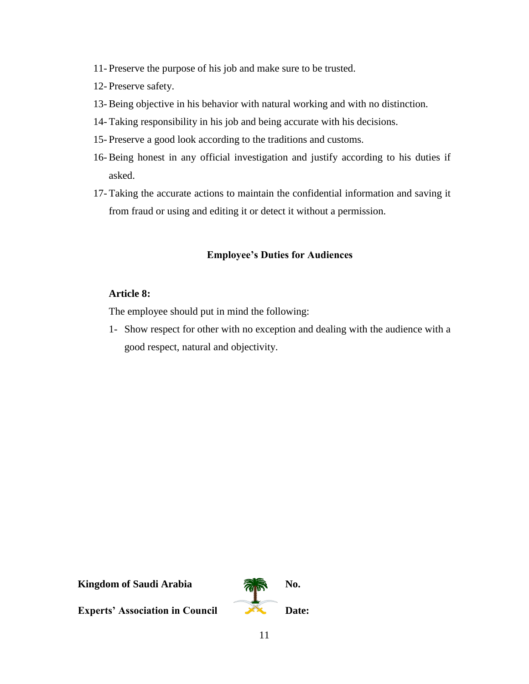- 11- Preserve the purpose of his job and make sure to be trusted.
- 12- Preserve safety.
- 13- Being objective in his behavior with natural working and with no distinction.
- 14- Taking responsibility in his job and being accurate with his decisions.
- 15- Preserve a good look according to the traditions and customs.
- 16- Being honest in any official investigation and justify according to his duties if asked.
- 17- Taking the accurate actions to maintain the confidential information and saving it from fraud or using and editing it or detect it without a permission.

# **Employee's Duties for Audiences**

## **Article 8:**

The employee should put in mind the following:

1- Show respect for other with no exception and dealing with the audience with a good respect, natural and objectivity.

**Kingdom of Saudi Arabia**  $\hat{\mathbb{R}}$  No.



**Experts' Association in Council Date:**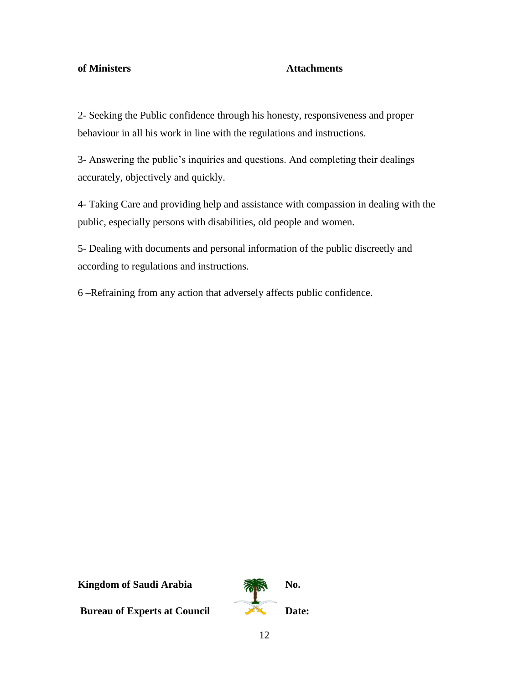2- Seeking the Public confidence through his honesty, responsiveness and proper behaviour in all his work in line with the regulations and instructions.

3- Answering the public's inquiries and questions. And completing their dealings accurately, objectively and quickly.

4- Taking Care and providing help and assistance with compassion in dealing with the public, especially persons with disabilities, old people and women.

5- Dealing with documents and personal information of the public discreetly and according to regulations and instructions.

6 –Refraining from any action that adversely affects public confidence.

**Kingdom of Saudi Arabia**  $\widehat{\mathbb{R}}$  **No.** 



**Bureau of Experts at Council Date:** Date: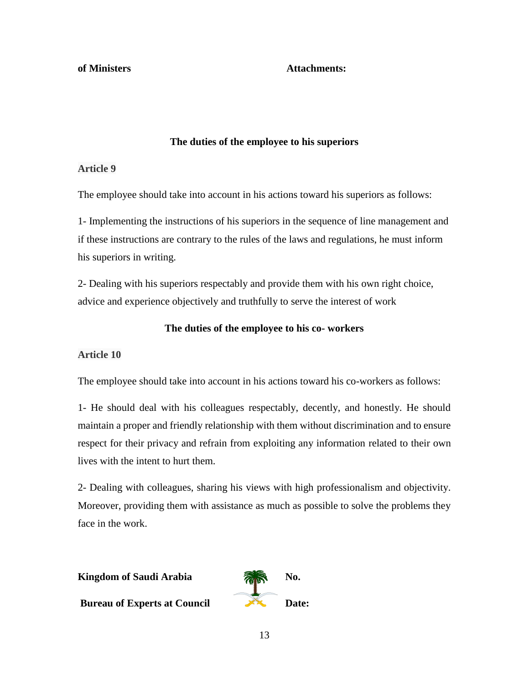## **The duties of the employee to his superiors**

## **Article 9**

The employee should take into account in his actions toward his superiors as follows:

1- Implementing the instructions of his superiors in the sequence of line management and if these instructions are contrary to the rules of the laws and regulations, he must inform his superiors in writing.

2- Dealing with his superiors respectably and provide them with his own right choice, advice and experience objectively and truthfully to serve the interest of work

### **The duties of the employee to his co- workers**

### **Article 10**

The employee should take into account in his actions toward his co-workers as follows:

1- He should deal with his colleagues respectably, decently, and honestly. He should maintain a proper and friendly relationship with them without discrimination and to ensure respect for their privacy and refrain from exploiting any information related to their own lives with the intent to hurt them.

2- Dealing with colleagues, sharing his views with high professionalism and objectivity. Moreover, providing them with assistance as much as possible to solve the problems they face in the work.

## **Kingdom of Saudi Arabia**  $\widehat{\mathbb{Z}}$  **No.** No.

**Bureau of Experts at Council Date:** Date:

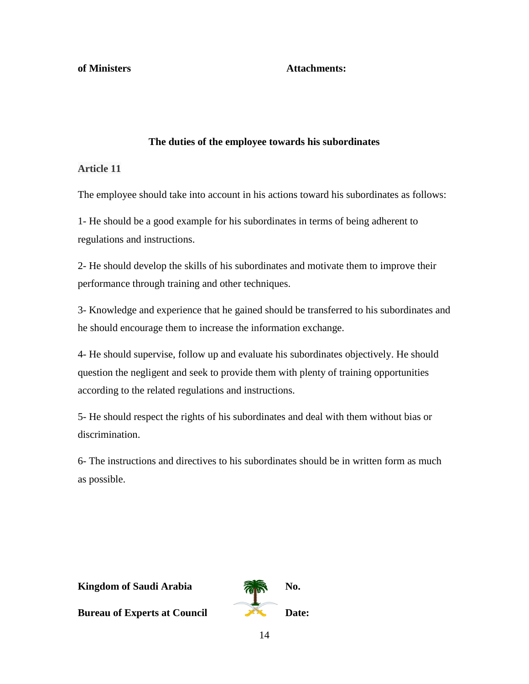## **The duties of the employee towards his subordinates**

## **Article 11**

The employee should take into account in his actions toward his subordinates as follows:

1- He should be a good example for his subordinates in terms of being adherent to regulations and instructions.

2- He should develop the skills of his subordinates and motivate them to improve their performance through training and other techniques.

3- Knowledge and experience that he gained should be transferred to his subordinates and he should encourage them to increase the information exchange.

4- He should supervise, follow up and evaluate his subordinates objectively. He should question the negligent and seek to provide them with plenty of training opportunities according to the related regulations and instructions.

5- He should respect the rights of his subordinates and deal with them without bias or discrimination.

6- The instructions and directives to his subordinates should be in written form as much as possible.

**Kingdom of Saudi Arabia**  $\widehat{\mathbb{Z}}$   $\widehat{\mathbb{R}}$  No.

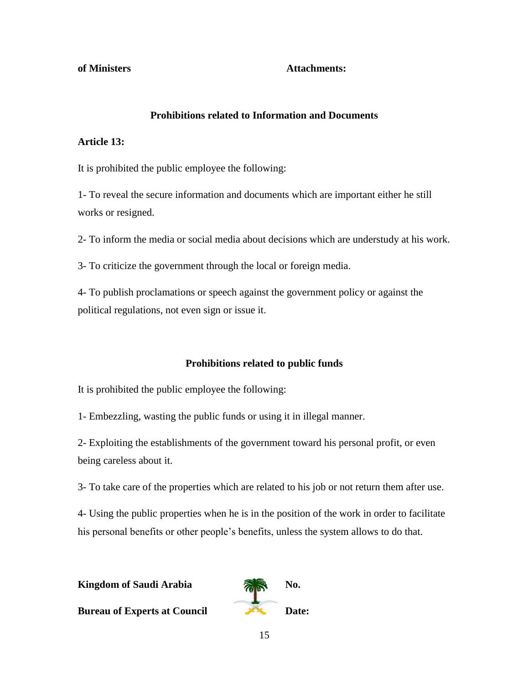## **Prohibitions related to Information and Documents**

## **Article 13:**

It is prohibited the public employee the following:

1- To reveal the secure information and documents which are important either he still works or resigned.

2- To inform the media or social media about decisions which are understudy at his work.

3- To criticize the government through the local or foreign media.

4- To publish proclamations or speech against the government policy or against the political regulations, not even sign or issue it.

#### **Prohibitions related to public funds**

It is prohibited the public employee the following:

1- Embezzling, wasting the public funds or using it in illegal manner.

2- Exploiting the establishments of the government toward his personal profit, or even being careless about it.

3- To take care of the properties which are related to his job or not return them after use.

4- Using the public properties when he is in the position of the work in order to facilitate his personal benefits or other people's benefits, unless the system allows to do that.

Kingdom of Saudi Arabia **1986** No. **Bureau of Experts at Council Date:** Date: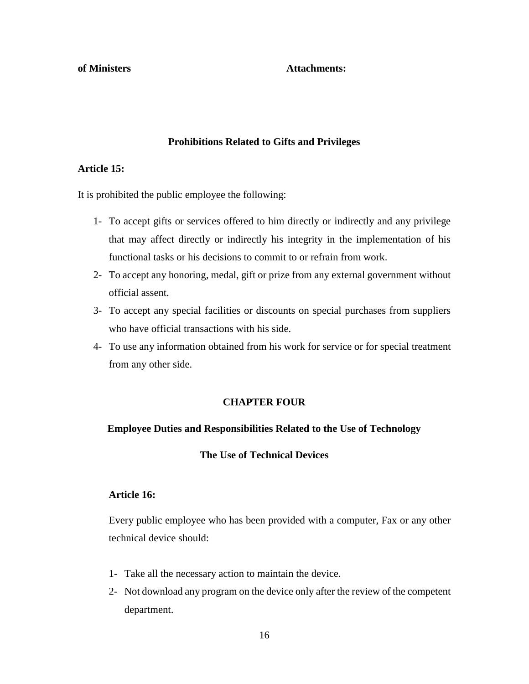#### **Prohibitions Related to Gifts and Privileges**

## **Article 15:**

It is prohibited the public employee the following:

- 1- To accept gifts or services offered to him directly or indirectly and any privilege that may affect directly or indirectly his integrity in the implementation of his functional tasks or his decisions to commit to or refrain from work.
- 2- To accept any honoring, medal, gift or prize from any external government without official assent.
- 3- To accept any special facilities or discounts on special purchases from suppliers who have official transactions with his side.
- 4- To use any information obtained from his work for service or for special treatment from any other side.

## **CHAPTER FOUR**

#### **Employee Duties and Responsibilities Related to the Use of Technology**

#### **The Use of Technical Devices**

## **Article 16:**

Every public employee who has been provided with a computer, Fax or any other technical device should:

- 1- Take all the necessary action to maintain the device.
- 2- Not download any program on the device only after the review of the competent department.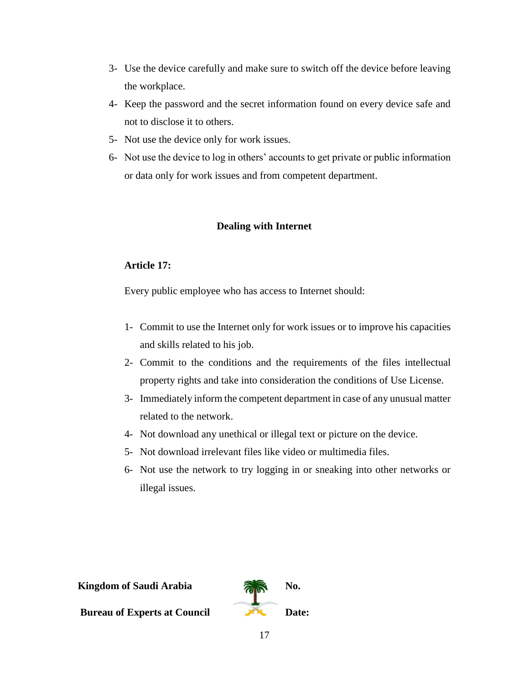- 3- Use the device carefully and make sure to switch off the device before leaving the workplace.
- 4- Keep the password and the secret information found on every device safe and not to disclose it to others.
- 5- Not use the device only for work issues.
- 6- Not use the device to log in others' accounts to get private or public information or data only for work issues and from competent department.

## **Dealing with Internet**

### **Article 17:**

Every public employee who has access to Internet should:

- 1- Commit to use the Internet only for work issues or to improve his capacities and skills related to his job.
- 2- Commit to the conditions and the requirements of the files intellectual property rights and take into consideration the conditions of Use License.
- 3- Immediately inform the competent department in case of any unusual matter related to the network.
- 4- Not download any unethical or illegal text or picture on the device.
- 5- Not download irrelevant files like video or multimedia files.
- 6- Not use the network to try logging in or sneaking into other networks or illegal issues.

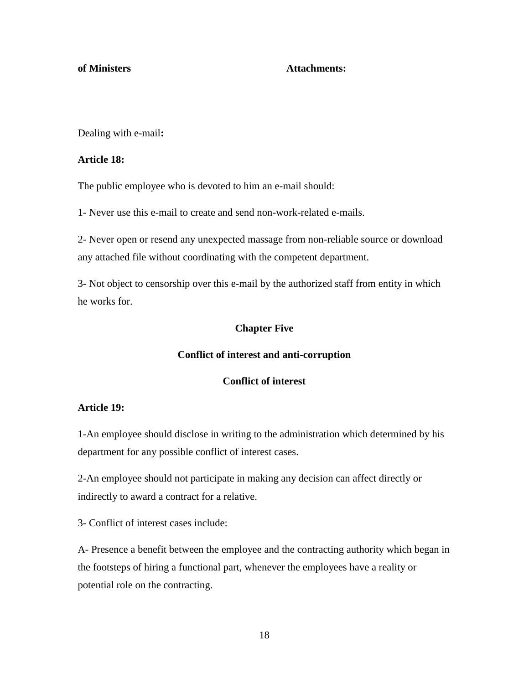Dealing with e-mail**:**

#### **Article 18:**

The public employee who is devoted to him an e-mail should:

1- Never use this e-mail to create and send non-work-related e-mails.

2- Never open or resend any unexpected massage from non-reliable source or download any attached file without coordinating with the competent department.

3- Not object to censorship over this e-mail by the authorized staff from entity in which he works for.

#### **Chapter Five**

### **Conflict of interest and anti-corruption**

#### **Conflict of interest**

#### **Article 19:**

1-An employee should disclose in writing to the administration which determined by his department for any possible conflict of interest cases.

2-An employee should not participate in making any decision can affect directly or indirectly to award a contract for a relative.

3- Conflict of interest cases include:

A- Presence a benefit between the employee and the contracting authority which began in the footsteps of hiring a functional part, whenever the employees have a reality or potential role on the contracting.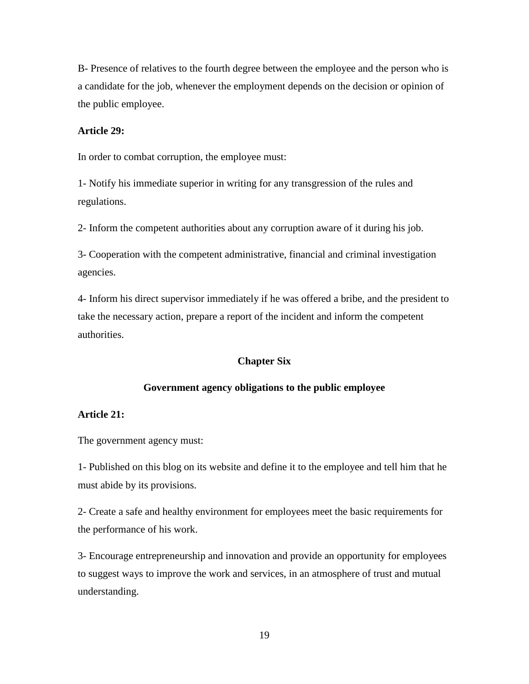B- Presence of relatives to the fourth degree between the employee and the person who is a candidate for the job, whenever the employment depends on the decision or opinion of the public employee.

### **Article 29:**

In order to combat corruption, the employee must:

1- Notify his immediate superior in writing for any transgression of the rules and regulations.

2- Inform the competent authorities about any corruption aware of it during his job.

3- Cooperation with the competent administrative, financial and criminal investigation agencies.

4- Inform his direct supervisor immediately if he was offered a bribe, and the president to take the necessary action, prepare a report of the incident and inform the competent authorities.

## **Chapter Six**

#### **Government agency obligations to the public employee**

## **Article 21:**

The government agency must:

1- Published on this blog on its website and define it to the employee and tell him that he must abide by its provisions.

2- Create a safe and healthy environment for employees meet the basic requirements for the performance of his work.

3- Encourage entrepreneurship and innovation and provide an opportunity for employees to suggest ways to improve the work and services, in an atmosphere of trust and mutual understanding.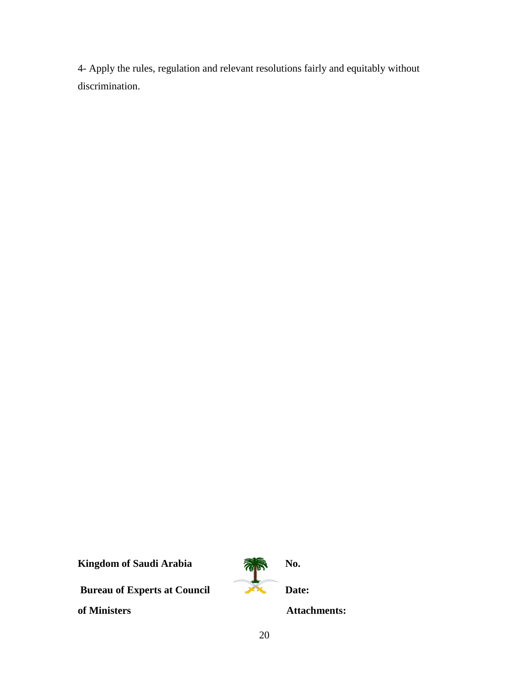4- Apply the rules, regulation and relevant resolutions fairly and equitably without discrimination.

Kingdom of Saudi Arabia **1989** No.



**Bureau of Experts at Council Date:** 

**of Ministers Attachments:**